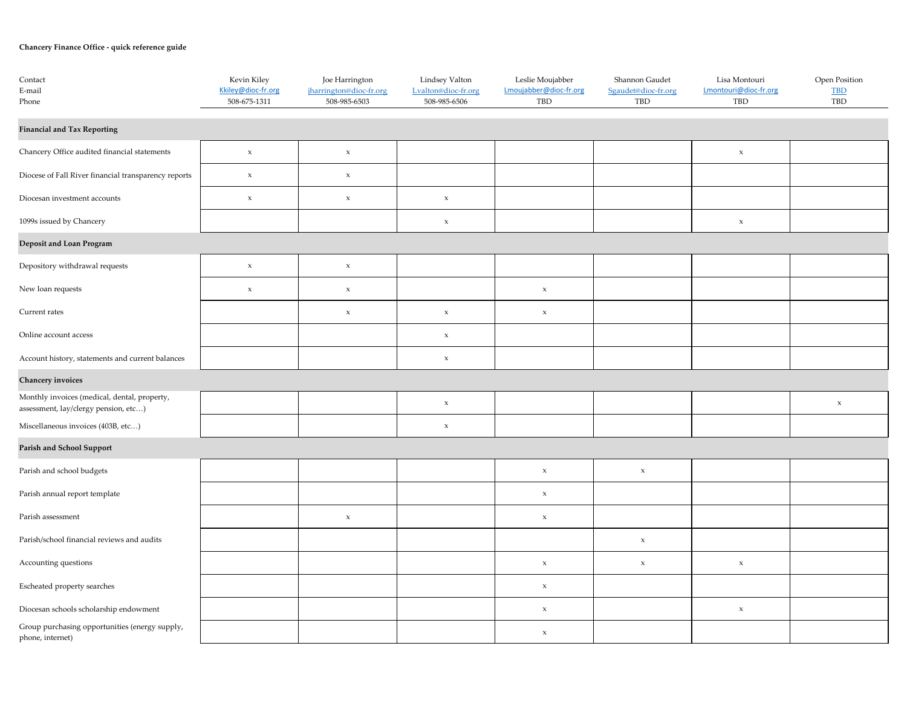## **Chancery Finance Office - quick reference guide**

| Contact<br>E-mail<br>Phone                                                           | Kevin Kiley<br>Kkiley@dioc-fr.org<br>508-675-1311 | Joe Harrington<br>jharrington@dioc-fr.org<br>508-985-6503 | Lindsey Valton<br>Lyalton@dioc-fr.org<br>508-985-6506 | Leslie Moujabber<br>Lmoujabber@dioc-fr.org<br>TBD | Shannon Gaudet<br>Sgaudet@dioc-fr.org<br>TBD | Lisa Montouri<br>Lmontouri@dioc-fr.org<br>TBD | Open Position<br>TBD<br>TBD |
|--------------------------------------------------------------------------------------|---------------------------------------------------|-----------------------------------------------------------|-------------------------------------------------------|---------------------------------------------------|----------------------------------------------|-----------------------------------------------|-----------------------------|
| <b>Financial and Tax Reporting</b>                                                   |                                                   |                                                           |                                                       |                                                   |                                              |                                               |                             |
| Chancery Office audited financial statements                                         | $\mathbf x$                                       | $\mathbf x$                                               |                                                       |                                                   |                                              | $\mathbf x$                                   |                             |
| Diocese of Fall River financial transparency reports                                 | $\mathbf x$                                       | $\mathbf x$                                               |                                                       |                                                   |                                              |                                               |                             |
| Diocesan investment accounts                                                         | $\mathbf x$                                       | $\mathbf x$                                               | $\mathbf x$                                           |                                                   |                                              |                                               |                             |
| 1099s issued by Chancery                                                             |                                                   |                                                           | $\mathbf x$                                           |                                                   |                                              | $\mathbf x$                                   |                             |
| Deposit and Loan Program                                                             |                                                   |                                                           |                                                       |                                                   |                                              |                                               |                             |
| Depository withdrawal requests                                                       | $\mathbf x$                                       | $\mathbf x$                                               |                                                       |                                                   |                                              |                                               |                             |
| New loan requests                                                                    | $\mathbf x$                                       | $\mathbf x$                                               |                                                       | $\mathbf x$                                       |                                              |                                               |                             |
| Current rates                                                                        |                                                   | $\mathbf x$                                               | $\mathbf x$                                           | $\mathbf x$                                       |                                              |                                               |                             |
| Online account access                                                                |                                                   |                                                           | $\mathbf x$                                           |                                                   |                                              |                                               |                             |
| Account history, statements and current balances                                     |                                                   |                                                           | $\mathbf x$                                           |                                                   |                                              |                                               |                             |
| Chancery invoices                                                                    |                                                   |                                                           |                                                       |                                                   |                                              |                                               |                             |
| Monthly invoices (medical, dental, property,<br>assessment, lay/clergy pension, etc) |                                                   |                                                           | $\mathbf x$                                           |                                                   |                                              |                                               | $\mathbf x$                 |
| Miscellaneous invoices (403B, etc)                                                   |                                                   |                                                           | $\mathbf x$                                           |                                                   |                                              |                                               |                             |
| Parish and School Support                                                            |                                                   |                                                           |                                                       |                                                   |                                              |                                               |                             |
| Parish and school budgets                                                            |                                                   |                                                           |                                                       | $\mathbf x$                                       | $\mathbf x$                                  |                                               |                             |
| Parish annual report template                                                        |                                                   |                                                           |                                                       | $\mathbf x$                                       |                                              |                                               |                             |
| Parish assessment                                                                    |                                                   | $\mathbf x$                                               |                                                       | $\mathbf x$                                       |                                              |                                               |                             |
| Parish/school financial reviews and audits                                           |                                                   |                                                           |                                                       |                                                   | $\mathbf x$                                  |                                               |                             |
| Accounting questions                                                                 |                                                   |                                                           |                                                       | $\mathbf x$                                       | $\mathbf x$                                  | $\mathbf x$                                   |                             |
| Escheated property searches                                                          |                                                   |                                                           |                                                       | $\mathbf x$                                       |                                              |                                               |                             |
| Diocesan schools scholarship endowment                                               |                                                   |                                                           |                                                       | $\mathbf x$                                       |                                              | $\mathbf x$                                   |                             |
| Group purchasing opportunities (energy supply,<br>phone, internet)                   |                                                   |                                                           |                                                       | $\mathbf x$                                       |                                              |                                               |                             |